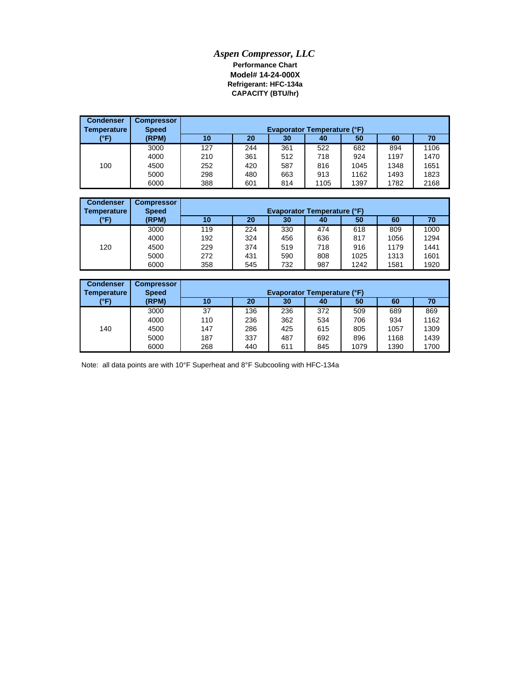## *Aspen Compressor, LLC* **Performance Chart Model# 14-24-000X Refrigerant: HFC-134a CAPACITY (BTU/hr)**

| <b>Condenser</b><br>Temperature | <b>Compressor</b><br><b>Speed</b> |     | <b>Evaporator Temperature (°F)</b> |     |      |      |      |      |  |  |
|---------------------------------|-----------------------------------|-----|------------------------------------|-----|------|------|------|------|--|--|
| (°F)                            | (RPM)                             | 10  | 20                                 | 30  | 40   | 50   | 60   | 70   |  |  |
|                                 | 3000                              | 127 | 244                                | 361 | 522  | 682  | 894  | 1106 |  |  |
|                                 | 4000                              | 210 | 361                                | 512 | 718  | 924  | 1197 | 1470 |  |  |
| 100                             | 4500                              | 252 | 420                                | 587 | 816  | 1045 | 1348 | 1651 |  |  |
|                                 | 5000                              | 298 | 480                                | 663 | 913  | 1162 | 1493 | 1823 |  |  |
|                                 | 6000                              | 388 | 601                                | 814 | 1105 | 1397 | 1782 | 2168 |  |  |

| <b>Condenser</b><br><b>Temperature</b> | <b>Compressor</b><br><b>Speed</b> |     |     |     |     |      |      |      |
|----------------------------------------|-----------------------------------|-----|-----|-----|-----|------|------|------|
| (°F)                                   | (RPM)                             | 10  | 20  | 30  | 40  | 50   | 60   | 70   |
|                                        | 3000                              | 119 | 224 | 330 | 474 | 618  | 809  | 1000 |
|                                        | 4000                              | 192 | 324 | 456 | 636 | 817  | 1056 | 1294 |
| 120                                    | 4500                              | 229 | 374 | 519 | 718 | 916  | 1179 | 1441 |
|                                        | 5000                              | 272 | 431 | 590 | 808 | 1025 | 1313 | 1601 |
|                                        | 6000                              | 358 | 545 | 732 | 987 | 1242 | 1581 | 1920 |

| <b>Condenser</b><br>Temperature | <b>Compressor</b><br><b>Speed</b> |     | <b>Evaporator Temperature (°F)</b> |     |     |      |      |      |  |
|---------------------------------|-----------------------------------|-----|------------------------------------|-----|-----|------|------|------|--|
| (°F)                            | (RPM)                             | 10  | 20                                 | 30  | 40  | 50   | 60   | 70   |  |
|                                 | 3000                              | 37  | 136                                | 236 | 372 | 509  | 689  | 869  |  |
|                                 | 4000                              | 110 | 236                                | 362 | 534 | 706  | 934  | 1162 |  |
| 140                             | 4500                              | 147 | 286                                | 425 | 615 | 805  | 1057 | 1309 |  |
|                                 | 5000                              | 187 | 337                                | 487 | 692 | 896  | 1168 | 1439 |  |
|                                 | 6000                              | 268 | 440                                | 611 | 845 | 1079 | 1390 | 1700 |  |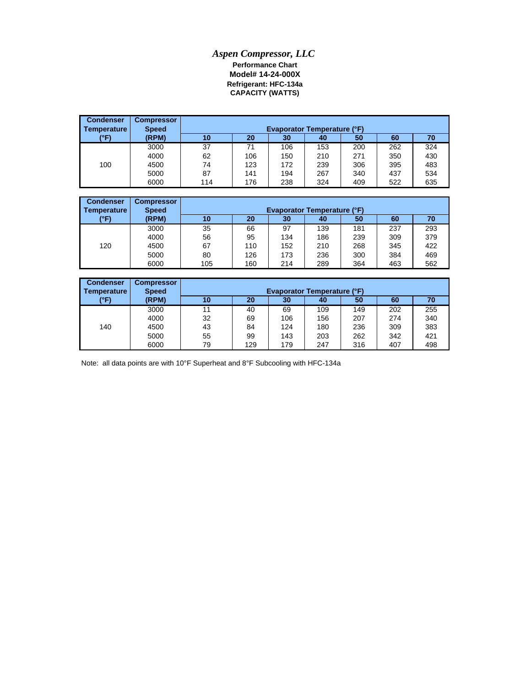## *Aspen Compressor, LLC* **Performance Chart Model# 14-24-000X CAPACITY (WATTS) Refrigerant: HFC-134a**

| <b>Condenser</b><br>Temperature | <b>Compressor</b><br><b>Speed</b> | <b>Evaporator Temperature (°F)</b> |     |     |     |     |     |     |  |
|---------------------------------|-----------------------------------|------------------------------------|-----|-----|-----|-----|-----|-----|--|
| (°F)                            | (RPM)                             | 10                                 | 20  | 30  | 40  | 50  | 60  | 70  |  |
|                                 | 3000                              | 37                                 | 71  | 106 | 153 | 200 | 262 | 324 |  |
|                                 | 4000                              | 62                                 | 106 | 150 | 210 | 271 | 350 | 430 |  |
| 100                             | 4500                              | 74                                 | 123 | 172 | 239 | 306 | 395 | 483 |  |
|                                 | 5000                              | 87                                 | 141 | 194 | 267 | 340 | 437 | 534 |  |
|                                 | 6000                              | 114                                | 176 | 238 | 324 | 409 | 522 | 635 |  |

| <b>Condenser</b><br>Temperature | <b>Compressor</b><br><b>Speed</b> |     | <b>Evaporator Temperature (°F)</b> |     |     |     |     |     |  |  |
|---------------------------------|-----------------------------------|-----|------------------------------------|-----|-----|-----|-----|-----|--|--|
| (°F)                            | (RPM)                             | 10  | 20                                 | 30  | 40  | 50  | 60  | 70  |  |  |
|                                 | 3000                              | 35  | 66                                 | 97  | 139 | 181 | 237 | 293 |  |  |
|                                 | 4000                              | 56  | 95                                 | 134 | 186 | 239 | 309 | 379 |  |  |
| 120                             | 4500                              | 67  | 110                                | 152 | 210 | 268 | 345 | 422 |  |  |
|                                 | 5000                              | 80  | 126                                | 173 | 236 | 300 | 384 | 469 |  |  |
|                                 | 6000                              | 105 | 160                                | 214 | 289 | 364 | 463 | 562 |  |  |

| <b>Condenser</b><br>Temperature | <b>Compressor</b><br><b>Speed</b> |    | <b>Evaporator Temperature (°F)</b> |     |     |     |     |     |  |  |
|---------------------------------|-----------------------------------|----|------------------------------------|-----|-----|-----|-----|-----|--|--|
| (°F)                            | (RPM)                             | 10 | 20                                 | 30  | 40  | 50  | 60  | 70  |  |  |
|                                 | 3000                              | 11 | 40                                 | 69  | 109 | 149 | 202 | 255 |  |  |
|                                 | 4000                              | 32 | 69                                 | 106 | 156 | 207 | 274 | 340 |  |  |
| 140                             | 4500                              | 43 | 84                                 | 124 | 180 | 236 | 309 | 383 |  |  |
|                                 | 5000                              | 55 | 99                                 | 143 | 203 | 262 | 342 | 421 |  |  |
|                                 | 6000                              | 79 | 129                                | 179 | 247 | 316 | 407 | 498 |  |  |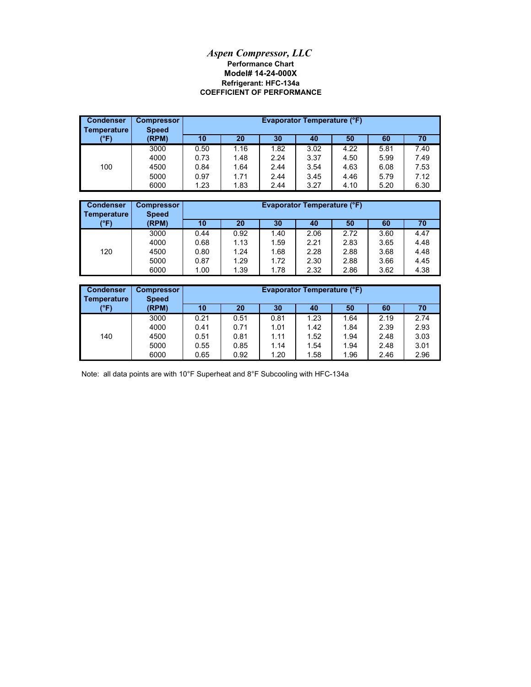## **Model# 14-24-000X** *Aspen Compressor, LLC* **Performance Chart COEFFICIENT OF PERFORMANCE Refrigerant: HFC-134a**

| <b>Condenser</b><br><b>Temperature</b> | <b>Compressor</b><br><b>Speed</b> |      |      |      | Evaporator Temperature (°F) |      |      |      |
|----------------------------------------|-----------------------------------|------|------|------|-----------------------------|------|------|------|
| (°F)                                   | (RPM)                             | 10   | 20   | 30   | 40                          | 50   | 60   | 70   |
|                                        | 3000                              | 0.50 | 1.16 | 1.82 | 3.02                        | 4.22 | 5.81 | 7.40 |
|                                        | 4000                              | 0.73 | 1.48 | 2.24 | 3.37                        | 4.50 | 5.99 | 7.49 |
| 100                                    | 4500                              | 0.84 | 1.64 | 2.44 | 3.54                        | 4.63 | 6.08 | 7.53 |
|                                        | 5000                              | 0.97 | 1.71 | 2.44 | 3.45                        | 4.46 | 5.79 | 7.12 |
|                                        | 6000                              | 1.23 | 1.83 | 2.44 | 3.27                        | 4.10 | 5.20 | 6.30 |

| <b>Condenser</b><br>Temperature | <b>Compressor</b><br><b>Speed</b> |      |      |      |      | <b>Evaporator Temperature (°F)</b><br>60<br>20<br>10<br>30<br>50<br>70<br>40<br>2.72<br>4.47<br>0.92<br>1.40<br>2.06<br>3.60 |      |      |  |  |  |
|---------------------------------|-----------------------------------|------|------|------|------|------------------------------------------------------------------------------------------------------------------------------|------|------|--|--|--|
| (°F)                            | (RPM)                             |      |      |      |      |                                                                                                                              |      |      |  |  |  |
|                                 | 3000                              | 0.44 |      |      |      |                                                                                                                              |      |      |  |  |  |
|                                 | 4000                              | 0.68 | 1.13 | 1.59 | 2.21 | 2.83                                                                                                                         | 3.65 | 4.48 |  |  |  |
| 120                             | 4500                              | 0.80 | 1.24 | 1.68 | 2.28 | 2.88                                                                                                                         | 3.68 | 4.48 |  |  |  |
|                                 | 5000                              | 0.87 | 1.29 | 1.72 | 2.30 | 2.88                                                                                                                         | 3.66 | 4.45 |  |  |  |
|                                 | 6000                              | 1.00 | 1.39 | 1.78 | 2.32 | 2.86                                                                                                                         | 3.62 | 4.38 |  |  |  |

| <b>Condenser</b><br>Temperature | <b>Compressor</b><br><b>Speed</b> |      | <b>Evaporator Temperature (°F)</b> |      |      |      |      |      |  |
|---------------------------------|-----------------------------------|------|------------------------------------|------|------|------|------|------|--|
| (°F)                            | (RPM)                             | 10   | 20                                 | 30   | 40   | 50   | 60   | 70   |  |
|                                 | 3000                              | 0.21 | 0.51                               | 0.81 | 1.23 | 1.64 | 2.19 | 2.74 |  |
|                                 | 4000                              | 0.41 | 0.71                               | 1.01 | 1.42 | 1.84 | 2.39 | 2.93 |  |
| 140                             | 4500                              | 0.51 | 0.81                               | 1.11 | 1.52 | 1.94 | 2.48 | 3.03 |  |
|                                 | 5000                              | 0.55 | 0.85                               | 1.14 | 1.54 | 1.94 | 2.48 | 3.01 |  |
|                                 | 6000                              | 0.65 | 0.92                               | 1.20 | 1.58 | 1.96 | 2.46 | 2.96 |  |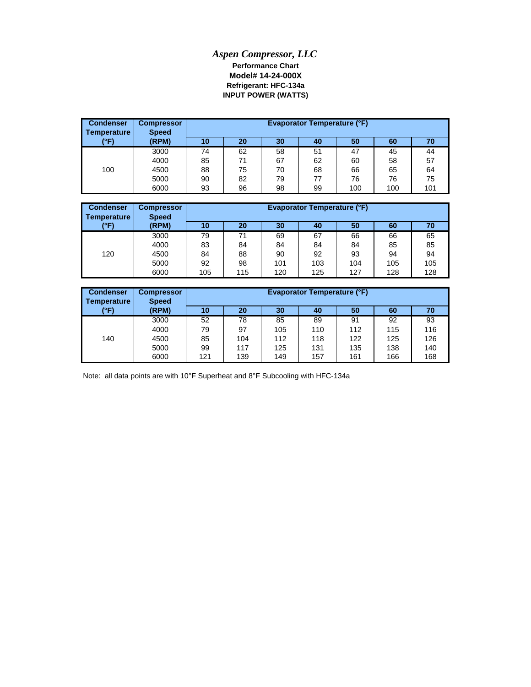## *Aspen Compressor, LLC* **Refrigerant: HFC-134a Model# 14-24-000X Performance Chart INPUT POWER (WATTS)**

| <b>Condenser</b><br>Temperature | <b>Compressor</b><br><b>Speed</b> |    |    |    | Evaporator Temperature (°F) |     |     |     |
|---------------------------------|-----------------------------------|----|----|----|-----------------------------|-----|-----|-----|
| (°F)                            | (RPM)                             | 10 | 20 | 30 | 40                          | 50  | 60  | 70  |
|                                 | 3000                              | 74 | 62 | 58 | 51                          | 47  | 45  | 44  |
|                                 | 4000                              | 85 | 71 | 67 | 62                          | 60  | 58  | 57  |
| 100                             | 4500                              | 88 | 75 | 70 | 68                          | 66  | 65  | 64  |
|                                 | 5000                              | 90 | 82 | 79 | 77                          | 76  | 76  | 75  |
|                                 | 6000                              | 93 | 96 | 98 | 99                          | 100 | 100 | 101 |

| <b>Condenser</b><br>Temperature | <b>Compressor</b><br><b>Speed</b> |     | Evaporator Temperature (°F)<br>30<br>20<br>50<br>60<br>40<br>10<br>70 |     |     |     |     |     |  |
|---------------------------------|-----------------------------------|-----|-----------------------------------------------------------------------|-----|-----|-----|-----|-----|--|
| (°F)                            | (RPM)                             |     |                                                                       |     |     |     |     |     |  |
|                                 | 3000                              | 79  | 71                                                                    | 69  | 67  | 66  | 66  | 65  |  |
|                                 | 4000                              | 83  | 84                                                                    | 84  | 84  | 84  | 85  | 85  |  |
| 120                             | 4500                              | 84  | 88                                                                    | 90  | 92  | 93  | 94  | 94  |  |
|                                 | 5000                              | 92  | 98                                                                    | 101 | 103 | 104 | 105 | 105 |  |
|                                 | 6000                              | 105 | 115                                                                   | 120 | 125 | 127 | 128 | 128 |  |

| <b>Condenser</b><br>Temperature | <b>Compressor</b><br><b>Speed</b> |     | <b>Evaporator Temperature (°F)</b><br>50<br>20<br>30<br>10<br>40<br>60<br>70<br>52<br>78<br>85<br>91<br>92<br>89<br>93<br>116<br>112<br>97<br>110<br>115<br>79<br>105 |     |     |     |     |     |
|---------------------------------|-----------------------------------|-----|-----------------------------------------------------------------------------------------------------------------------------------------------------------------------|-----|-----|-----|-----|-----|
| (°F)                            | (RPM)                             |     |                                                                                                                                                                       |     |     |     |     |     |
|                                 | 3000                              |     |                                                                                                                                                                       |     |     |     |     |     |
|                                 | 4000                              |     |                                                                                                                                                                       |     |     |     |     |     |
| 140                             | 4500                              | 85  | 104                                                                                                                                                                   | 112 | 118 | 122 | 125 | 126 |
|                                 | 5000                              | 99  | 117                                                                                                                                                                   | 125 | 131 | 135 | 138 | 140 |
|                                 | 6000                              | 121 | 139                                                                                                                                                                   | 149 | 157 | 161 | 166 | 168 |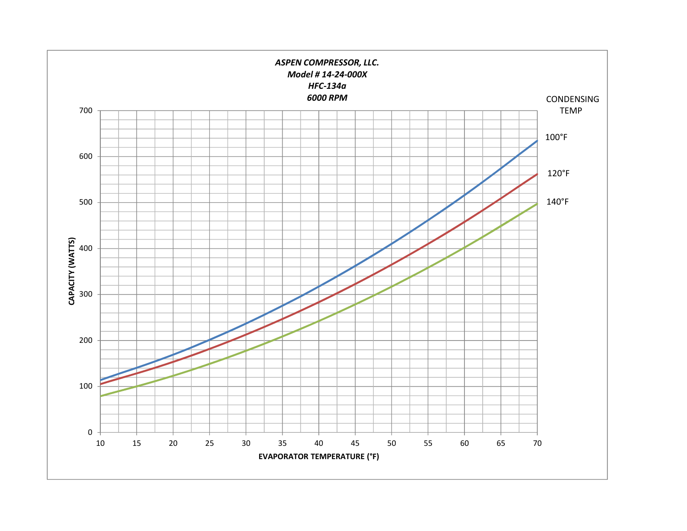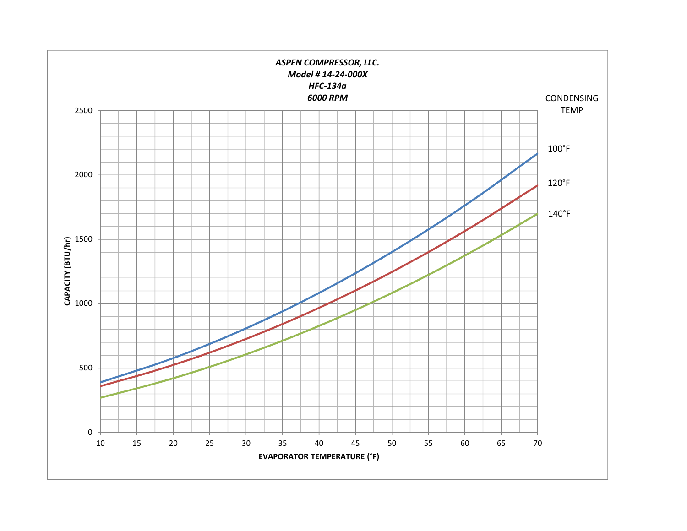